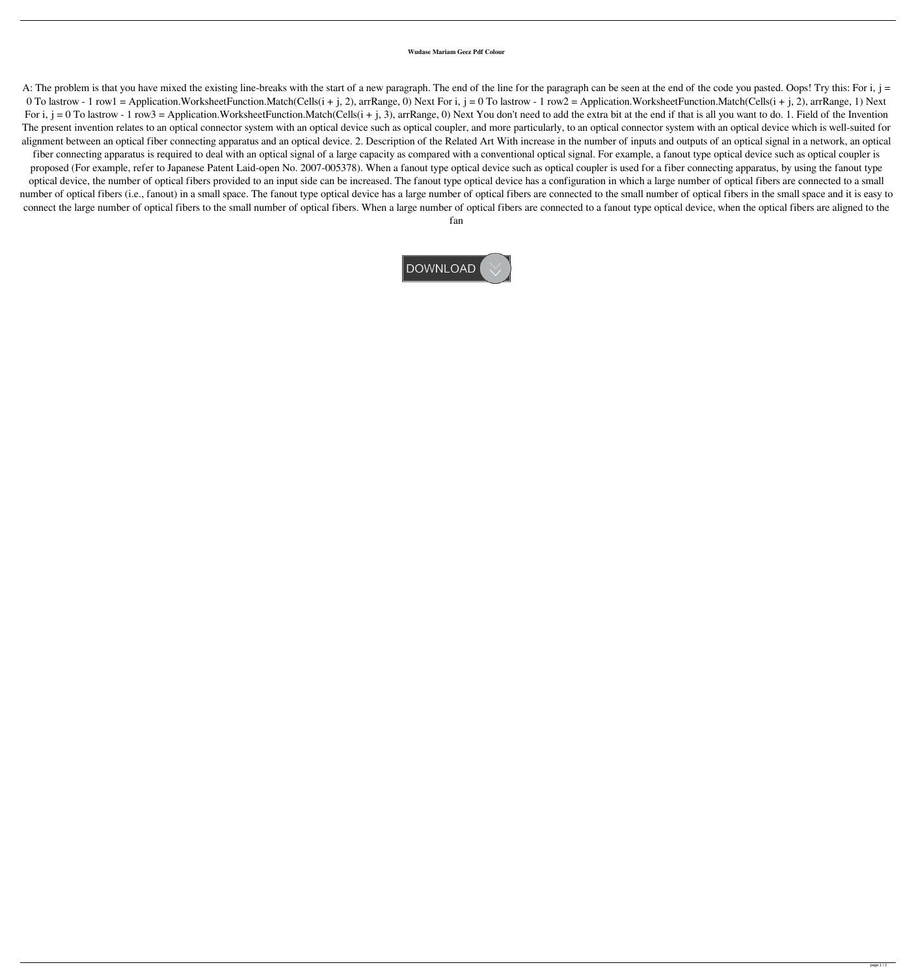## **Wudase Mariam Geez Pdf Colour**

A: The problem is that you have mixed the existing line-breaks with the start of a new paragraph. The end of the paragraph can be seen at the end of the code you pasted. Oops! Try this: For i, j = 0 To lastrow - 1 row1 = Application.WorksheetFunction.Match(Cells(i + j, 2), arrRange, 0) Next For i, j = 0 To lastrow - 1 row2 = Application.WorksheetFunction.Match(Cells(i + j, 2), arrRange, 1) Next For i,  $j = 0$  To lastrow - 1 row3 = Application.WorksheetFunction.Match(Cells( $i + j, 3$ ), arrRange, 0) Next You don't need to add the extra bit at the end if that is all you want to do. 1. Field of the Invention The present invention relates to an optical connector system with an optical device such as optical coupler, and more particularly, to an optical connector system with an optical device which is well-suited for alignment between an optical fiber connecting apparatus and an optical device. 2. Description of the Related Art With increase in the number of inputs and outputs of an optical signal in a network, an optical fiber connecting apparatus is required to deal with an optical signal of a large capacity as compared with a conventional optical signal. For example, a fanout type optical device such as optical coupler is proposed (For example, refer to Japanese Patent Laid-open No. 2007-005378). When a fanout type optical device such as optical coupler is used for a fiber connecting apparatus, by using the fanout type optical device, the number of optical fibers provided to an input side can be increased. The fanout type optical device has a configuration in which a large number of optical fibers are connected to a small number of optical fibers (i.e., fanout) in a small space. The fanout type optical device has a large number of optical fibers are connected to the small number of optical fibers in the small space and it is easy to connect the large number of optical fibers to the small number of optical fibers. When a large number of optical fibers are connected to a fanout type optical device, when the optical fibers are aligned to the

fan